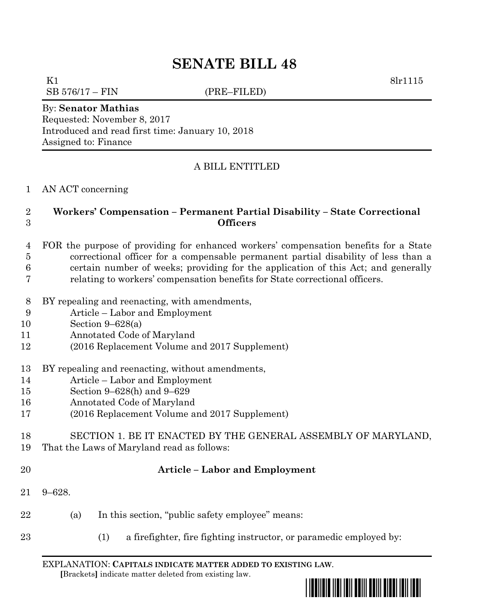# **SENATE BILL 48**

K1 8lr1115

 $SB 576/17 - FIN$  (PRE–FILED)

# By: **Senator Mathias**

Requested: November 8, 2017 Introduced and read first time: January 10, 2018 Assigned to: Finance

# A BILL ENTITLED

#### AN ACT concerning

### **Workers' Compensation – Permanent Partial Disability – State Correctional Officers**

- FOR the purpose of providing for enhanced workers' compensation benefits for a State correctional officer for a compensable permanent partial disability of less than a certain number of weeks; providing for the application of this Act; and generally relating to workers' compensation benefits for State correctional officers.
- BY repealing and reenacting, with amendments,
- Article Labor and Employment
- Section 9–628(a)
- Annotated Code of Maryland
- (2016 Replacement Volume and 2017 Supplement)
- BY repealing and reenacting, without amendments,
- Article Labor and Employment
- Section 9–628(h) and 9–629
- Annotated Code of Maryland
- (2016 Replacement Volume and 2017 Supplement)
- SECTION 1. BE IT ENACTED BY THE GENERAL ASSEMBLY OF MARYLAND, That the Laws of Maryland read as follows:
- 

# **Article – Labor and Employment**

- 9–628.
- (a) In this section, "public safety employee" means:
- (1) a firefighter, fire fighting instructor, or paramedic employed by:

EXPLANATION: **CAPITALS INDICATE MATTER ADDED TO EXISTING LAW**.  **[**Brackets**]** indicate matter deleted from existing law.

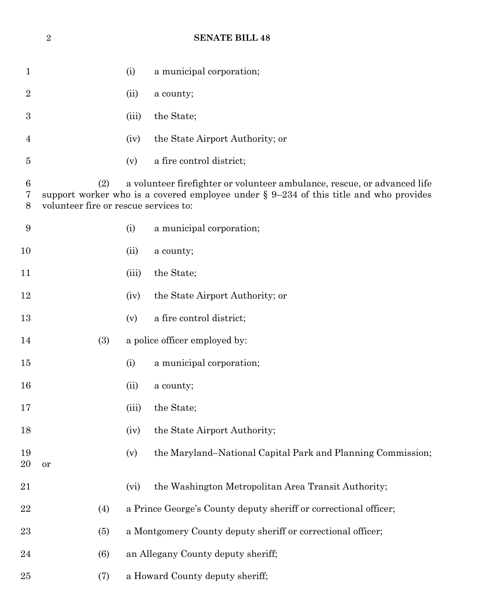# **SENATE BILL 48**

| $\mathbf 1$    |                                                                                                                                                                                                                      | (i)   | a municipal corporation;                                         |
|----------------|----------------------------------------------------------------------------------------------------------------------------------------------------------------------------------------------------------------------|-------|------------------------------------------------------------------|
| $\overline{2}$ |                                                                                                                                                                                                                      | (ii)  | a county;                                                        |
| 3              |                                                                                                                                                                                                                      | (iii) | the State;                                                       |
| $\overline{4}$ |                                                                                                                                                                                                                      | (iv)  | the State Airport Authority; or                                  |
| $\overline{5}$ |                                                                                                                                                                                                                      | (v)   | a fire control district;                                         |
| 6<br>7<br>8    | (2)<br>a volunteer firefighter or volunteer ambulance, rescue, or advanced life<br>support worker who is a covered employee under $\S 9-234$ of this title and who provides<br>volunteer fire or rescue services to: |       |                                                                  |
| 9              |                                                                                                                                                                                                                      | (i)   | a municipal corporation;                                         |
| 10             |                                                                                                                                                                                                                      | (ii)  | a county;                                                        |
| 11             |                                                                                                                                                                                                                      | (iii) | the State;                                                       |
| 12             |                                                                                                                                                                                                                      | (iv)  | the State Airport Authority; or                                  |
| 13             |                                                                                                                                                                                                                      | (v)   | a fire control district;                                         |
| 14             | (3)                                                                                                                                                                                                                  |       | a police officer employed by:                                    |
| 15             |                                                                                                                                                                                                                      | (i)   | a municipal corporation;                                         |
| 16             |                                                                                                                                                                                                                      | (ii)  | a county;                                                        |
| 17             |                                                                                                                                                                                                                      | (iii) | the State;                                                       |
| 18             |                                                                                                                                                                                                                      | (iv)  | the State Airport Authority;                                     |
| 19<br>20       | or                                                                                                                                                                                                                   | (v)   | the Maryland-National Capital Park and Planning Commission;      |
| 21             |                                                                                                                                                                                                                      | (vi)  | the Washington Metropolitan Area Transit Authority;              |
| 22             | (4)                                                                                                                                                                                                                  |       | a Prince George's County deputy sheriff or correctional officer; |
| 23             | (5)                                                                                                                                                                                                                  |       | a Montgomery County deputy sheriff or correctional officer;      |
| 24             | (6)                                                                                                                                                                                                                  |       | an Allegany County deputy sheriff;                               |
| 25             | (7)                                                                                                                                                                                                                  |       | a Howard County deputy sheriff;                                  |